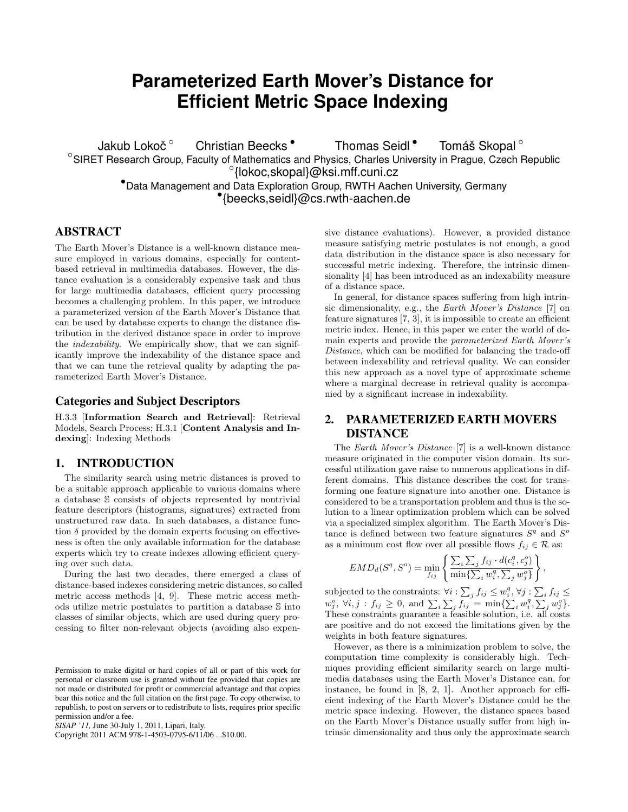# **Parameterized Earth Mover's Distance for Efficient Metric Space Indexing**

Jakub Lokoč<sup>o</sup> Christian Beecks • Thomas Seidl • Tomáš Skopal ° ◦ SIRET Research Group, Faculty of Mathematics and Physics, Charles University in Prague, Czech Republic ◦ {lokoc,skopal}@ksi.mff.cuni.cz •Data Management and Data Exploration Group, RWTH Aachen University, Germany • {beecks,seidl}@cs.rwth-aachen.de

## ABSTRACT

The Earth Mover's Distance is a well-known distance measure employed in various domains, especially for contentbased retrieval in multimedia databases. However, the distance evaluation is a considerably expensive task and thus for large multimedia databases, efficient query processing becomes a challenging problem. In this paper, we introduce a parameterized version of the Earth Mover's Distance that can be used by database experts to change the distance distribution in the derived distance space in order to improve the indexability. We empirically show, that we can significantly improve the indexability of the distance space and that we can tune the retrieval quality by adapting the parameterized Earth Mover's Distance.

### Categories and Subject Descriptors

H.3.3 [Information Search and Retrieval]: Retrieval Models, Search Process; H.3.1 [Content Analysis and Indexing]: Indexing Methods

## 1. INTRODUCTION

The similarity search using metric distances is proved to be a suitable approach applicable to various domains where a database S consists of objects represented by nontrivial feature descriptors (histograms, signatures) extracted from unstructured raw data. In such databases, a distance function  $\delta$  provided by the domain experts focusing on effectiveness is often the only available information for the database experts which try to create indexes allowing efficient querying over such data.

During the last two decades, there emerged a class of distance-based indexes considering metric distances, so called metric access methods [4, 9]. These metric access methods utilize metric postulates to partition a database S into classes of similar objects, which are used during query processing to filter non-relevant objects (avoiding also expen-

Copyright 2011 ACM 978-1-4503-0795-6/11/06 ...\$10.00.

sive distance evaluations). However, a provided distance measure satisfying metric postulates is not enough, a good data distribution in the distance space is also necessary for successful metric indexing. Therefore, the intrinsic dimensionality [4] has been introduced as an indexability measure of a distance space.

In general, for distance spaces suffering from high intrinsic dimensionality, e.g., the Earth Mover's Distance [7] on feature signatures  $[7, 3]$ , it is impossible to create an efficient metric index. Hence, in this paper we enter the world of domain experts and provide the parameterized Earth Mover's Distance, which can be modified for balancing the trade-off between indexability and retrieval quality. We can consider this new approach as a novel type of approximate scheme where a marginal decrease in retrieval quality is accompanied by a significant increase in indexability.

# 2. PARAMETERIZED EARTH MOVERS DISTANCE

The Earth Mover's Distance [7] is a well-known distance measure originated in the computer vision domain. Its successful utilization gave raise to numerous applications in different domains. This distance describes the cost for transforming one feature signature into another one. Distance is considered to be a transportation problem and thus is the solution to a linear optimization problem which can be solved via a specialized simplex algorithm. The Earth Mover's Distance is defined between two feature signatures  $S<sup>q</sup>$  and  $S<sup>o</sup>$ as a minimum cost flow over all possible flows  $f_{ij} \in \mathcal{R}$  as:

$$
EMD_d(S^q, S^o) = \min_{f_{ij}} \left\{ \frac{\sum_i \sum_j f_{ij} \cdot d(c_i^q, c_j^o)}{\min \{ \sum_i w_i^q, \sum_j w_j^o \}} \right\},
$$

subjected to the constraints:  $\forall i : \sum_j f_{ij} \leq w_i^q, \forall j : \sum_i f_{ij} \leq$  $w_j^o, \forall i, j : f_{ij} \geq 0, \text{ and } \sum_i \sum_j f_{ij} = \min\{\sum_i w_i^q, \sum_j w_j^o\}.$ These constraints guarantee a feasible solution, i.e. all costs are positive and do not exceed the limitations given by the weights in both feature signatures.

However, as there is a minimization problem to solve, the computation time complexity is considerably high. Techniques providing efficient similarity search on large multimedia databases using the Earth Mover's Distance can, for instance, be found in [8, 2, 1]. Another approach for efficient indexing of the Earth Mover's Distance could be the metric space indexing. However, the distance spaces based on the Earth Mover's Distance usually suffer from high intrinsic dimensionality and thus only the approximate search

Permission to make digital or hard copies of all or part of this work for personal or classroom use is granted without fee provided that copies are not made or distributed for profit or commercial advantage and that copies bear this notice and the full citation on the first page. To copy otherwise, to republish, to post on servers or to redistribute to lists, requires prior specific permission and/or a fee.

*SISAP '11,* June 30-July 1, 2011, Lipari, Italy.